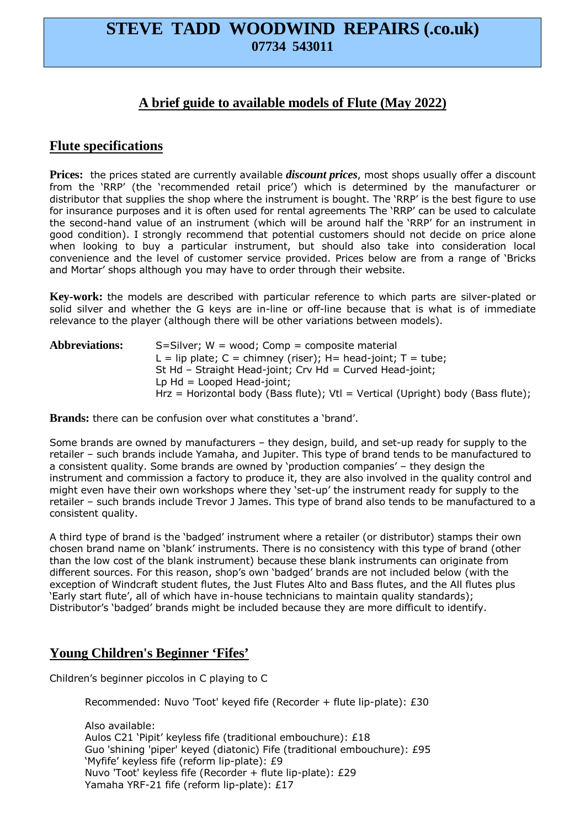# **STEVE TADD WOODWIND REPAIRS (.co.uk) 07734 543011**

## **A brief guide to available models of Flute (May 2022)**

### **Flute specifications**

**Prices:** the prices stated are currently available *discount prices*, most shops usually offer a discount from the 'RRP' (the 'recommended retail price') which is determined by the manufacturer or distributor that supplies the shop where the instrument is bought. The 'RRP' is the best figure to use for insurance purposes and it is often used for rental agreements The 'RRP' can be used to calculate the second-hand value of an instrument (which will be around half the 'RRP' for an instrument in good condition). I strongly recommend that potential customers should not decide on price alone when looking to buy a particular instrument, but should also take into consideration local convenience and the level of customer service provided. Prices below are from a range of 'Bricks and Mortar' shops although you may have to order through their website.

**Key-work:** the models are described with particular reference to which parts are silver-plated or solid silver and whether the G keys are in-line or off-line because that is what is of immediate relevance to the player (although there will be other variations between models).

| <b>Abbreviations:</b> | $S = Silver$ ; W = wood; Comp = composite material                              |
|-----------------------|---------------------------------------------------------------------------------|
|                       | L = lip plate; C = chimney (riser); H = head-joint; T = tube;                   |
|                       | St Hd - Straight Head-joint; Crv Hd = Curved Head-joint;                        |
|                       | Lp $Hd =$ Looped Head-joint;                                                    |
|                       | Hrz = Horizontal body (Bass flute); Vtl = Vertical (Upright) body (Bass flute); |

**Brands:** there can be confusion over what constitutes a 'brand'.

Some brands are owned by manufacturers – they design, build, and set-up ready for supply to the retailer – such brands include Yamaha, and Jupiter. This type of brand tends to be manufactured to a consistent quality. Some brands are owned by 'production companies' – they design the instrument and commission a factory to produce it, they are also involved in the quality control and might even have their own workshops where they 'set-up' the instrument ready for supply to the retailer – such brands include Trevor J James. This type of brand also tends to be manufactured to a consistent quality.

A third type of brand is the 'badged' instrument where a retailer (or distributor) stamps their own chosen brand name on 'blank' instruments. There is no consistency with this type of brand (other than the low cost of the blank instrument) because these blank instruments can originate from different sources. For this reason, shop's own 'badged' brands are not included below (with the exception of Windcraft student flutes, the Just Flutes Alto and Bass flutes, and the All flutes plus 'Early start flute', all of which have in-house technicians to maintain quality standards); Distributor's 'badged' brands might be included because they are more difficult to identify.

## **Young Children's Beginner 'Fifes'**

Children's beginner piccolos in C playing to C

Recommended: Nuvo 'Toot' keyed fife (Recorder + flute lip-plate): £30

 Also available: Aulos C21 'Pipit' keyless fife (traditional embouchure): £18 Guo 'shining 'piper' keyed (diatonic) Fife (traditional embouchure): £95 'Myfife' keyless fife (reform lip-plate): £9 Nuvo 'Toot' keyless fife (Recorder + flute lip-plate): £29 Yamaha YRF-21 fife (reform lip-plate): £17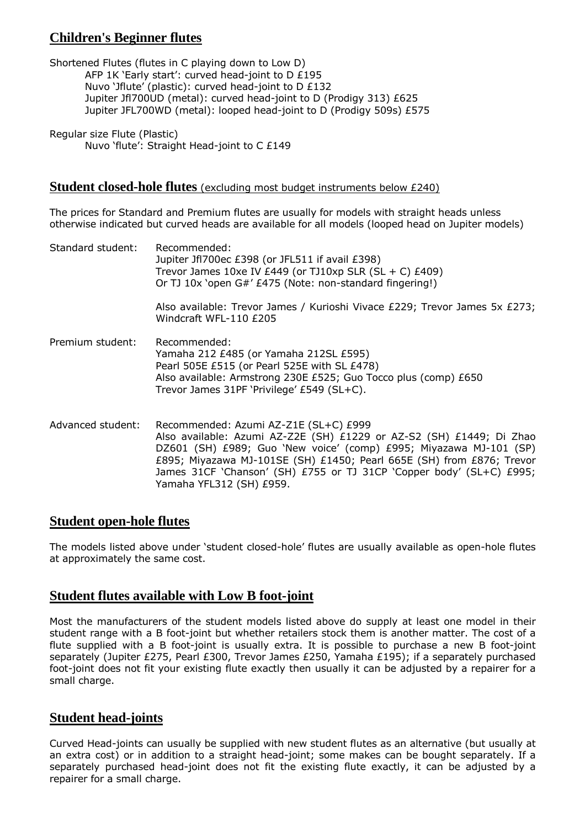# **Children's Beginner flutes**

Shortened Flutes (flutes in C playing down to Low D) AFP 1K 'Early start': curved head-joint to D £195 Nuvo 'Jflute' (plastic): curved head-joint to D £132 Jupiter Jfl700UD (metal): curved head-joint to D (Prodigy 313) £625 Jupiter JFL700WD (metal): looped head-joint to D (Prodigy 509s) £575

Regular size Flute (Plastic) Nuvo 'flute': Straight Head-joint to C £149

#### **Student closed-hole flutes** (excluding most budget instruments below £240)

The prices for Standard and Premium flutes are usually for models with straight heads unless otherwise indicated but curved heads are available for all models (looped head on Jupiter models)

| Standard student: | Recommended:<br>Jupiter Jfl700ec £398 (or JFL511 if avail £398)<br>Trevor James 10xe IV £449 (or TJ10xp SLR (SL + C) £409)<br>Or TJ 10x 'open G#' £475 (Note: non-standard fingering!)                                                                                                                                                                           |
|-------------------|------------------------------------------------------------------------------------------------------------------------------------------------------------------------------------------------------------------------------------------------------------------------------------------------------------------------------------------------------------------|
|                   | Also available: Trevor James / Kurioshi Vivace £229; Trevor James 5x £273;<br>Windcraft WFL-110 £205                                                                                                                                                                                                                                                             |
| Premium student:  | Recommended:<br>Yamaha 212 £485 (or Yamaha 212SL £595)<br>Pearl 505E £515 (or Pearl 525E with SL £478)<br>Also available: Armstrong 230E £525; Guo Tocco plus (comp) £650<br>Trevor James 31PF 'Privilege' £549 (SL+C).                                                                                                                                          |
| Advanced student: | Recommended: Azumi AZ-Z1E (SL+C) £999<br>Also available: Azumi AZ-Z2E (SH) £1229 or AZ-S2 (SH) £1449; Di Zhao<br>DZ601 (SH) £989; Guo 'New voice' (comp) £995; Miyazawa MJ-101 (SP)<br>£895; Miyazawa MJ-101SE (SH) £1450; Pearl 665E (SH) from £876; Trevor<br>James 31CF 'Chanson' (SH) £755 or TJ 31CP 'Copper body' (SL+C) £995;<br>Yamaha YFL312 (SH) £959. |

#### **Student open-hole flutes**

The models listed above under 'student closed-hole' flutes are usually available as open-hole flutes at approximately the same cost.

#### **Student flutes available with Low B foot-joint**

Most the manufacturers of the student models listed above do supply at least one model in their student range with a B foot-joint but whether retailers stock them is another matter. The cost of a flute supplied with a B foot-joint is usually extra. It is possible to purchase a new B foot-joint separately (Jupiter £275, Pearl £300, Trevor James £250, Yamaha £195); if a separately purchased foot-joint does not fit your existing flute exactly then usually it can be adjusted by a repairer for a small charge.

### **Student head-joints**

Curved Head-joints can usually be supplied with new student flutes as an alternative (but usually at an extra cost) or in addition to a straight head-joint; some makes can be bought separately. If a separately purchased head-joint does not fit the existing flute exactly, it can be adjusted by a repairer for a small charge.